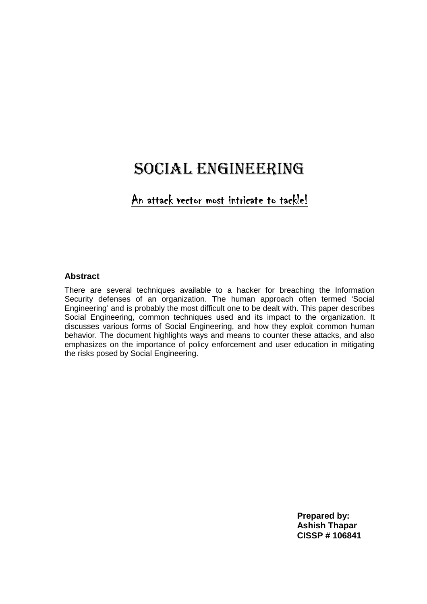# SOCIAL ENGINEERING

# An attack vector most intricate to tackle!

#### **Abstract**

There are several techniques available to a hacker for breaching the Information Security defenses of an organization. The human approach often termed 'Social Engineering' and is probably the most difficult one to be dealt with. This paper describes Social Engineering, common techniques used and its impact to the organization. It discusses various forms of Social Engineering, and how they exploit common human behavior. The document highlights ways and means to counter these attacks, and also emphasizes on the importance of policy enforcement and user education in mitigating the risks posed by Social Engineering.

> **Prepared by: Ashish Thapar CISSP # 106841**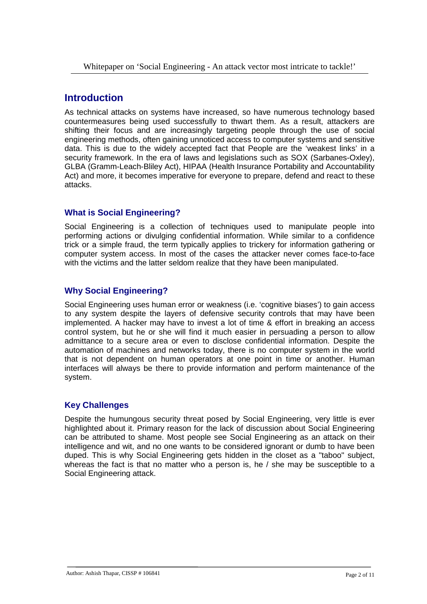# **Introduction**

As technical attacks on systems have increased, so have numerous technology based countermeasures being used successfully to thwart them. As a result, attackers are shifting their focus and are increasingly targeting people through the use of social engineering methods, often gaining unnoticed access to computer systems and sensitive data. This is due to the widely accepted fact that People are the 'weakest links' in a security framework. In the era of laws and legislations such as SOX (Sarbanes-Oxley), GLBA (Gramm-Leach-Bliley Act), HIPAA (Health Insurance Portability and Accountability Act) and more, it becomes imperative for everyone to prepare, defend and react to these attacks.

### **What is Social Engineering?**

Social Engineering is a collection of techniques used to manipulate people into performing actions or divulging confidential information. While similar to a confidence trick or a simple fraud, the term typically applies to trickery for information gathering or computer system access. In most of the cases the attacker never comes face-to-face with the victims and the latter seldom realize that they have been manipulated.

### **Why Social Engineering?**

Social Engineering uses human error or weakness (i.e. 'cognitive biases') to gain access to any system despite the layers of defensive security controls that may have been implemented. A hacker may have to invest a lot of time & effort in breaking an access control system, but he or she will find it much easier in persuading a person to allow admittance to a secure area or even to disclose confidential information. Despite the automation of machines and networks today, there is no computer system in the world that is not dependent on human operators at one point in time or another. Human interfaces will always be there to provide information and perform maintenance of the system.

### **Key Challenges**

Despite the humungous security threat posed by Social Engineering, very little is ever highlighted about it. Primary reason for the lack of discussion about Social Engineering can be attributed to shame. Most people see Social Engineering as an attack on their intelligence and wit, and no one wants to be considered ignorant or dumb to have been duped. This is why Social Engineering gets hidden in the closet as a "taboo" subject, whereas the fact is that no matter who a person is, he / she may be susceptible to a Social Engineering attack.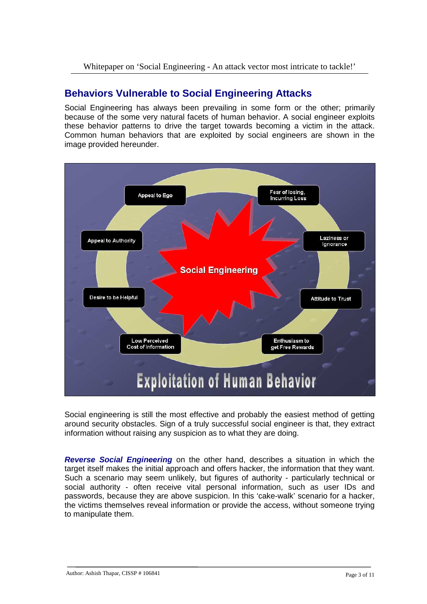# **Behaviors Vulnerable to Social Engineering Attacks**

Social Engineering has always been prevailing in some form or the other; primarily because of the some very natural facets of human behavior. A social engineer exploits these behavior patterns to drive the target towards becoming a victim in the attack. Common human behaviors that are exploited by social engineers are shown in the image provided hereunder.



Social engineering is still the most effective and probably the easiest method of getting around security obstacles. Sign of a truly successful social engineer is that, they extract information without raising any suspicion as to what they are doing.

**Reverse Social Engineering** on the other hand, describes a situation in which the target itself makes the initial approach and offers hacker, the information that they want. Such a scenario may seem unlikely, but figures of authority - particularly technical or social authority - often receive vital personal information, such as user IDs and passwords, because they are above suspicion. In this 'cake-walk' scenario for a hacker, the victims themselves reveal information or provide the access, without someone trying to manipulate them.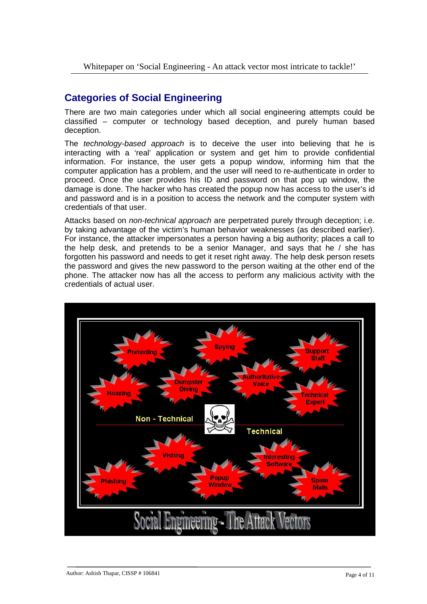# **Categories of Social Engineering**

There are two main categories under which all social engineering attempts could be classified – computer or technology based deception, and purely human based deception.

The *technology-based approach* is to deceive the user into believing that he is interacting with a 'real' application or system and get him to provide confidential information. For instance, the user gets a popup window, informing him that the computer application has a problem, and the user will need to re-authenticate in order to proceed. Once the user provides his ID and password on that pop up window, the damage is done. The hacker who has created the popup now has access to the user's id and password and is in a position to access the network and the computer system with credentials of that user.

Attacks based on *non-technical approach* are perpetrated purely through deception; i.e. by taking advantage of the victim's human behavior weaknesses (as described earlier). For instance, the attacker impersonates a person having a big authority; places a call to the help desk, and pretends to be a senior Manager, and says that he / she has forgotten his password and needs to get it reset right away. The help desk person resets the password and gives the new password to the person waiting at the other end of the phone. The attacker now has all the access to perform any malicious activity with the credentials of actual user.

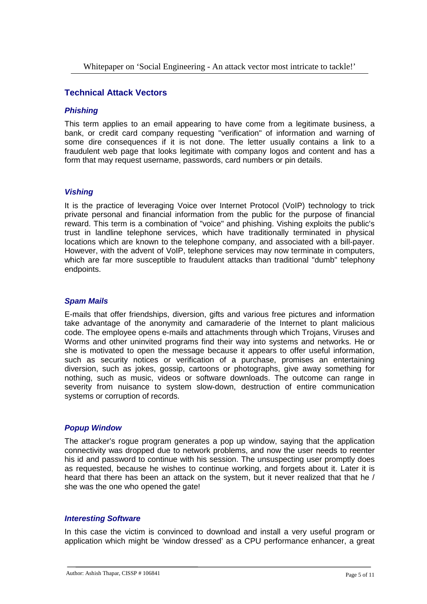#### **Technical Attack Vectors**

#### **Phishing**

This term applies to an email appearing to have come from a legitimate business, a bank, or credit card company requesting "verification" of information and warning of some dire consequences if it is not done. The letter usually contains a link to a fraudulent web page that looks legitimate with company logos and content and has a form that may request username, passwords, card numbers or pin details.

#### **Vishing**

It is the practice of leveraging Voice over Internet Protocol (VoIP) technology to trick private personal and financial information from the public for the purpose of financial reward. This term is a combination of "voice" and phishing. Vishing exploits the public's trust in landline telephone services, which have traditionally terminated in physical locations which are known to the telephone company, and associated with a bill-payer. However, with the advent of VoIP, telephone services may now terminate in computers, which are far more susceptible to fraudulent attacks than traditional "dumb" telephony endpoints.

#### **Spam Mails**

E-mails that offer friendships, diversion, gifts and various free pictures and information take advantage of the anonymity and camaraderie of the Internet to plant malicious code. The employee opens e-mails and attachments through which Trojans, Viruses and Worms and other uninvited programs find their way into systems and networks. He or she is motivated to open the message because it appears to offer useful information, such as security notices or verification of a purchase, promises an entertaining diversion, such as jokes, gossip, cartoons or photographs, give away something for nothing, such as music, videos or software downloads. The outcome can range in severity from nuisance to system slow-down, destruction of entire communication systems or corruption of records.

#### **Popup Window**

The attacker's rogue program generates a pop up window, saying that the application connectivity was dropped due to network problems, and now the user needs to reenter his id and password to continue with his session. The unsuspecting user promptly does as requested, because he wishes to continue working, and forgets about it. Later it is heard that there has been an attack on the system, but it never realized that that he / she was the one who opened the gate!

#### **Interesting Software**

In this case the victim is convinced to download and install a very useful program or application which might be 'window dressed' as a CPU performance enhancer, a great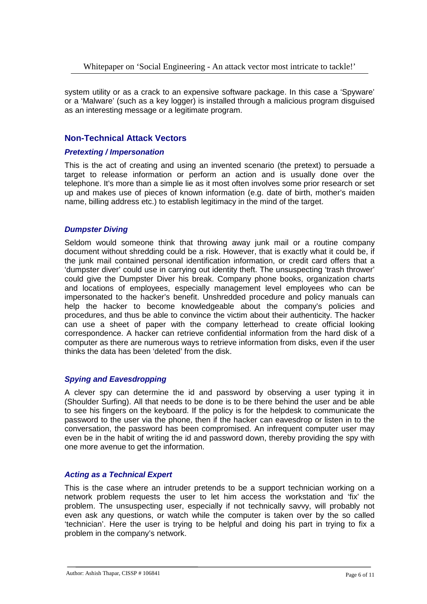system utility or as a crack to an expensive software package. In this case a 'Spyware' or a 'Malware' (such as a key logger) is installed through a malicious program disguised as an interesting message or a legitimate program.

#### **Non-Technical Attack Vectors**

#### **Pretexting / Impersonation**

This is the act of creating and using an invented scenario (the pretext) to persuade a target to release information or perform an action and is usually done over the telephone. It's more than a simple lie as it most often involves some prior research or set up and makes use of pieces of known information (e.g. date of birth, mother's maiden name, billing address etc.) to establish legitimacy in the mind of the target.

#### **Dumpster Diving**

Seldom would someone think that throwing away junk mail or a routine company document without shredding could be a risk. However, that is exactly what it could be, if the junk mail contained personal identification information, or credit card offers that a 'dumpster diver' could use in carrying out identity theft. The unsuspecting 'trash thrower' could give the Dumpster Diver his break. Company phone books, organization charts and locations of employees, especially management level employees who can be impersonated to the hacker's benefit. Unshredded procedure and policy manuals can help the hacker to become knowledgeable about the company's policies and procedures, and thus be able to convince the victim about their authenticity. The hacker can use a sheet of paper with the company letterhead to create official looking correspondence. A hacker can retrieve confidential information from the hard disk of a computer as there are numerous ways to retrieve information from disks, even if the user thinks the data has been 'deleted' from the disk.

#### **Spying and Eavesdropping**

A clever spy can determine the id and password by observing a user typing it in (Shoulder Surfing). All that needs to be done is to be there behind the user and be able to see his fingers on the keyboard. If the policy is for the helpdesk to communicate the password to the user via the phone, then if the hacker can eavesdrop or listen in to the conversation, the password has been compromised. An infrequent computer user may even be in the habit of writing the id and password down, thereby providing the spy with one more avenue to get the information.

#### **Acting as a Technical Expert**

This is the case where an intruder pretends to be a support technician working on a network problem requests the user to let him access the workstation and 'fix' the problem. The unsuspecting user, especially if not technically savvy, will probably not even ask any questions, or watch while the computer is taken over by the so called 'technician'. Here the user is trying to be helpful and doing his part in trying to fix a problem in the company's network.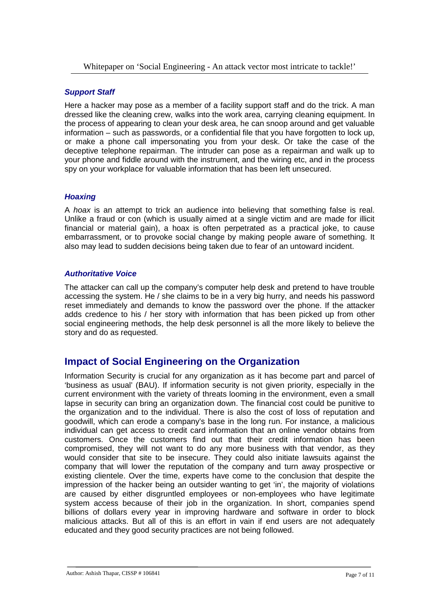#### **Support Staff**

Here a hacker may pose as a member of a facility support staff and do the trick. A man dressed like the cleaning crew, walks into the work area, carrying cleaning equipment. In the process of appearing to clean your desk area, he can snoop around and get valuable information – such as passwords, or a confidential file that you have forgotten to lock up, or make a phone call impersonating you from your desk. Or take the case of the deceptive telephone repairman. The intruder can pose as a repairman and walk up to your phone and fiddle around with the instrument, and the wiring etc, and in the process spy on your workplace for valuable information that has been left unsecured.

#### **Hoaxing**

A hoax is an attempt to trick an audience into believing that something false is real. Unlike a fraud or con (which is usually aimed at a single victim and are made for illicit financial or material gain), a hoax is often perpetrated as a practical joke, to cause embarrassment, or to provoke social change by making people aware of something. It also may lead to sudden decisions being taken due to fear of an untoward incident.

#### **Authoritative Voice**

The attacker can call up the company's computer help desk and pretend to have trouble accessing the system. He / she claims to be in a very big hurry, and needs his password reset immediately and demands to know the password over the phone. If the attacker adds credence to his / her story with information that has been picked up from other social engineering methods, the help desk personnel is all the more likely to believe the story and do as requested.

# **Impact of Social Engineering on the Organization**

Information Security is crucial for any organization as it has become part and parcel of 'business as usual' (BAU). If information security is not given priority, especially in the current environment with the variety of threats looming in the environment, even a small lapse in security can bring an organization down. The financial cost could be punitive to the organization and to the individual. There is also the cost of loss of reputation and goodwill, which can erode a company's base in the long run. For instance, a malicious individual can get access to credit card information that an online vendor obtains from customers. Once the customers find out that their credit information has been compromised, they will not want to do any more business with that vendor, as they would consider that site to be insecure. They could also initiate lawsuits against the company that will lower the reputation of the company and turn away prospective or existing clientele. Over the time, experts have come to the conclusion that despite the impression of the hacker being an outsider wanting to get 'in', the majority of violations are caused by either disgruntled employees or non-employees who have legitimate system access because of their job in the organization. In short, companies spend billions of dollars every year in improving hardware and software in order to block malicious attacks. But all of this is an effort in vain if end users are not adequately educated and they good security practices are not being followed.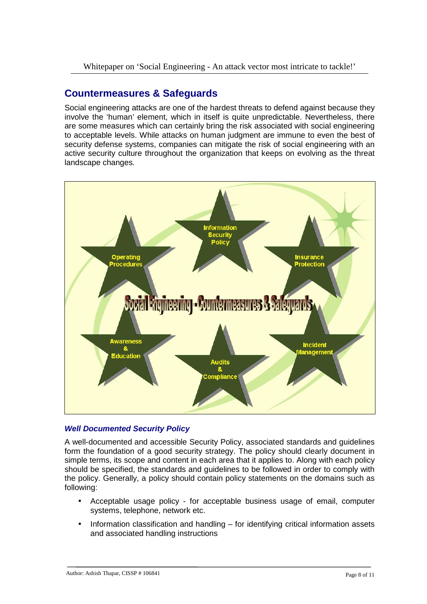Whitepaper on 'Social Engineering - An attack vector most intricate to tackle!'

## **Countermeasures & Safeguards**

Social engineering attacks are one of the hardest threats to defend against because they involve the 'human' element, which in itself is quite unpredictable. Nevertheless, there are some measures which can certainly bring the risk associated with social engineering to acceptable levels. While attacks on human judgment are immune to even the best of security defense systems, companies can mitigate the risk of social engineering with an active security culture throughout the organization that keeps on evolving as the threat landscape changes.



#### **Well Documented Security Policy**

A well-documented and accessible Security Policy, associated standards and guidelines form the foundation of a good security strategy. The policy should clearly document in simple terms, its scope and content in each area that it applies to. Along with each policy should be specified, the standards and guidelines to be followed in order to comply with the policy. Generally, a policy should contain policy statements on the domains such as following:

- Acceptable usage policy for acceptable business usage of email, computer systems, telephone, network etc.
- Information classification and handling for identifying critical information assets and associated handling instructions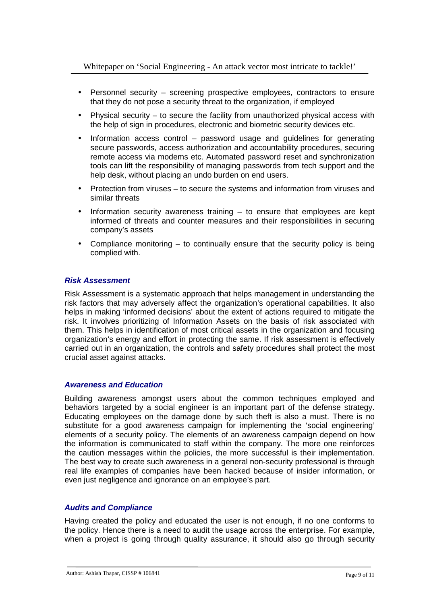- Personnel security screening prospective employees, contractors to ensure that they do not pose a security threat to the organization, if employed
- Physical security  $-$  to secure the facility from unauthorized physical access with the help of sign in procedures, electronic and biometric security devices etc.
- Information access control password usage and guidelines for generating secure passwords, access authorization and accountability procedures, securing remote access via modems etc. Automated password reset and synchronization tools can lift the responsibility of managing passwords from tech support and the help desk, without placing an undo burden on end users.
- Protection from viruses to secure the systems and information from viruses and similar threats
- Information security awareness training  $-$  to ensure that employees are kept informed of threats and counter measures and their responsibilities in securing company's assets
- Compliance monitoring  $-$  to continually ensure that the security policy is being complied with.

#### **Risk Assessment**

Risk Assessment is a systematic approach that helps management in understanding the risk factors that may adversely affect the organization's operational capabilities. It also helps in making 'informed decisions' about the extent of actions required to mitigate the risk. It involves prioritizing of Information Assets on the basis of risk associated with them. This helps in identification of most critical assets in the organization and focusing organization's energy and effort in protecting the same. If risk assessment is effectively carried out in an organization, the controls and safety procedures shall protect the most crucial asset against attacks.

#### **Awareness and Education**

Building awareness amongst users about the common techniques employed and behaviors targeted by a social engineer is an important part of the defense strategy. Educating employees on the damage done by such theft is also a must. There is no substitute for a good awareness campaign for implementing the 'social engineering' elements of a security policy. The elements of an awareness campaign depend on how the information is communicated to staff within the company. The more one reinforces the caution messages within the policies, the more successful is their implementation. The best way to create such awareness in a general non-security professional is through real life examples of companies have been hacked because of insider information, or even just negligence and ignorance on an employee's part.

#### **Audits and Compliance**

Having created the policy and educated the user is not enough, if no one conforms to the policy. Hence there is a need to audit the usage across the enterprise. For example, when a project is going through quality assurance, it should also go through security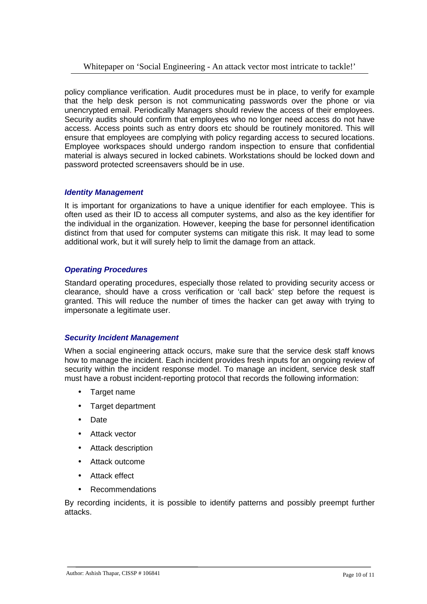policy compliance verification. Audit procedures must be in place, to verify for example that the help desk person is not communicating passwords over the phone or via unencrypted email. Periodically Managers should review the access of their employees. Security audits should confirm that employees who no longer need access do not have access. Access points such as entry doors etc should be routinely monitored. This will ensure that employees are complying with policy regarding access to secured locations. Employee workspaces should undergo random inspection to ensure that confidential material is always secured in locked cabinets. Workstations should be locked down and password protected screensavers should be in use.

#### **Identity Management**

It is important for organizations to have a unique identifier for each employee. This is often used as their ID to access all computer systems, and also as the key identifier for the individual in the organization. However, keeping the base for personnel identification distinct from that used for computer systems can mitigate this risk. It may lead to some additional work, but it will surely help to limit the damage from an attack.

#### **Operating Procedures**

Standard operating procedures, especially those related to providing security access or clearance, should have a cross verification or 'call back' step before the request is granted. This will reduce the number of times the hacker can get away with trying to impersonate a legitimate user.

#### **Security Incident Management**

When a social engineering attack occurs, make sure that the service desk staff knows how to manage the incident. Each incident provides fresh inputs for an ongoing review of security within the incident response model. To manage an incident, service desk staff must have a robust incident-reporting protocol that records the following information:

- Target name
- Target department
- Date
- Attack vector
- Attack description
- Attack outcome
- Attack effect
- Recommendations

By recording incidents, it is possible to identify patterns and possibly preempt further attacks.